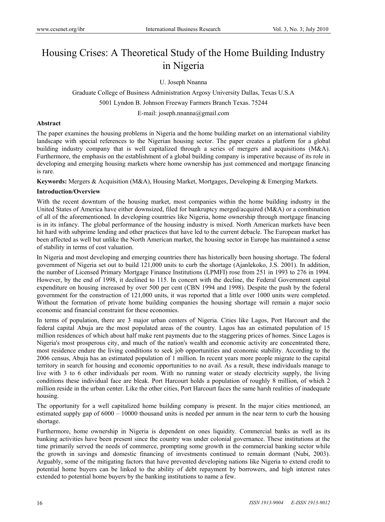# Housing Crises: A Theoretical Study of the Home Building Industry in Nigeria

U. Joseph Nnanna

Graduate College of Business Administration Argosy University Dallas, Texas U.S.A 5001 Lyndon B. Johnson Freeway Farmers Branch Texas. 75244 E-mail: joseph.nnanna@gmail.com

# **Abstract**

The paper examines the housing problems in Nigeria and the home building market on an international viability landscape with special references to the Nigerian housing sector. The paper creates a platform for a global building industry company that is well capitalized through a series of mergers and acquisitions (M&A). Furthermore, the emphasis on the establishment of a global building company is imperative because of its role in developing and emerging housing markets where home ownership has just commenced and mortgage financing is rare.

**Keywords:** Mergers & Acquisition (M&A), Housing Market, Mortgages, Developing & Emerging Markets.

# **Introduction/Overview**

With the recent downturn of the housing market, most companies within the home building industry in the United States of America have either downsized, filed for bankruptcy merged/acquired (M&A) or a combination of all of the aforementioned. In developing countries like Nigeria, home ownership through mortgage financing is in its infancy. The global performance of the housing industry is mixed. North American markets have been hit hard with subprime lending and other practices that have led to the current debacle. The European market has been affected as well but unlike the North American market, the housing sector in Europe has maintained a sense of stability in terms of cost valuation.

In Nigeria and most developing and emerging countries there has historically been housing shortage. The federal government of Nigeria set out to build 121,000 units to curb the shortage (Ajanlekoko, J.S. 2001). In addition, the number of Licensed Primary Mortgage Finance Institutions (LPMFI) rose from 251 in 1993 to 276 in 1994. However, by the end of 1998, it declined to 115. In concert with the decline, the Federal Government capital expenditure on housing increased by over 500 per cent (CBN 1994 and 1998). Despite the push by the federal government for the construction of 121,000 units, it was reported that a little over 1000 units were completed. Without the formation of private home building companies the housing shortage will remain a major socio economic and financial constraint for these economies.

In terms of population, there are 3 major urban centers of Nigeria. Cities like Lagos, Port Harcourt and the federal capital Abuja are the most populated areas of the country. Lagos has an estimated population of 15 million residences of which about half make rent payments due to the staggering prices of homes. Since Lagos is Nigeria's most prosperous city, and much of the nation's wealth and economic activity are concentrated there, most residence endure the living conditions to seek job opportunities and economic stability. According to the 2006 census, Abuja has an estimated population of 1 million. In recent years more people migrate to the capital territory in search for housing and economic opportunities to no avail. As a result, these individuals manage to live with 3 to 6 other individuals per room. With no running water or steady electricity supply, the living conditions these individual face are bleak. Port Harcourt holds a population of roughly 8 million, of which 2 million reside in the urban center. Like the other cities, Port Harcourt faces the same harsh realities of inadequate housing.

The opportunity for a well capitalized home building company is present. In the major cities mentioned, an estimated supply gap of 6000 – 10000 thousand units is needed per annum in the near term to curb the housing shortage.

Furthermore, home ownership in Nigeria is dependent on ones liquidity. Commercial banks as well as its banking activities have been present since the country was under colonial governance. These institutions at the time primarily served the needs of commerce, prompting some growth in the commercial banking sector while the growth in savings and domestic financing of investments continued to remain dormant (Nubi, 2003). Arguably, some of the mitigating factors that have prevented developing nations like Nigeria to extend credit to potential home buyers can be linked to the ability of debt repayment by borrowers, and high interest rates extended to potential home buyers by the banking institutions to name a few.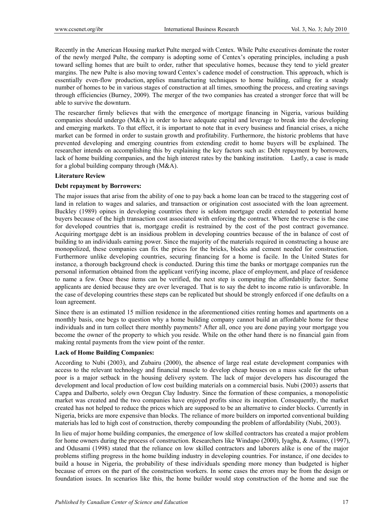Recently in the American Housing market Pulte merged with Centex. While Pulte executives dominate the roster of the newly merged Pulte, the company is adopting some of Centex's operating principles, including a push toward selling homes that are built to order, rather that speculative homes, because they tend to yield greater margins. The new Pulte is also moving toward Centex's cadence model of construction. This approach, which is essentially even-flow production, applies manufacturing techniques to home building, calling for a steady number of homes to be in various stages of construction at all times, smoothing the process, and creating savings through efficiencies (Burney, 2009). The merger of the two companies has created a stronger force that will be able to survive the downturn.

The researcher firmly believes that with the emergence of mortgage financing in Nigeria, various building companies should undergo (M&A) in order to have adequate capital and leverage to break into the developing and emerging markets. To that effect, it is important to note that in every business and financial crises, a niche market can be formed in order to sustain growth and profitability. Furthermore, the historic problems that have prevented developing and emerging countries from extending credit to home buyers will be explained. The researcher intends on accomplishing this by explaining the key factors such as: Debt repayment by borrowers, lack of home building companies, and the high interest rates by the banking institution. Lastly, a case is made for a global building company through (M&A).

# **Literature Review**

# **Debt repayment by Borrowers:**

The major issues that arise from the ability of one to pay back a home loan can be traced to the staggering cost of land in relation to wages and salaries, and transaction or origination cost associated with the loan agreement. Buckley (1989) opines in developing countries there is seldom mortgage credit extended to potential home buyers because of the high transaction cost associated with enforcing the contract. Where the reverse is the case for developed countries that is, mortgage credit is restrained by the cost of the post contract governance. Acquiring mortgage debt is an insidious problem in developing countries because of the in balance of cost of building to an individuals earning power. Since the majority of the materials required in constructing a house are monopolized, these companies can fix the prices for the bricks, blocks and cement needed for construction. Furthermore unlike developing countries, securing financing for a home is facile. In the United States for instance, a thorough background check is conducted. During this time the banks or mortgage companies run the personal information obtained from the applicant verifying income, place of employment, and place of residence to name a few. Once these items can be verified, the next step is computing the affordability factor. Some applicants are denied because they are over leveraged. That is to say the debt to income ratio is unfavorable. In the case of developing countries these steps can be replicated but should be strongly enforced if one defaults on a loan agreement.

Since there is an estimated 15 million residence in the aforementioned cities renting homes and apartments on a monthly basis, one begs to question why a home building company cannot build an affordable home for these individuals and in turn collect there monthly payments? After all, once you are done paying your mortgage you become the owner of the property to which you reside. While on the other hand there is no financial gain from making rental payments from the view point of the renter.

## **Lack of Home Building Companies:**

According to Nubi (2003), and Zubairu (2000), the absence of large real estate development companies with access to the relevant technology and financial muscle to develop cheap houses on a mass scale for the urban poor is a major setback in the housing delivery system. The lack of major developers has discouraged the development and local production of low cost building materials on a commercial basis. Nubi (2003) asserts that Cappa and Dalberto, solely own Oregun Clay Industry. Since the formation of these companies, a monopolistic market was created and the two companies have enjoyed profits since its inception. Consequently, the market created has not helped to reduce the prices which are supposed to be an alternative to cinder blocks. Currently in Nigeria, bricks are more expensive than blocks. The reliance of more builders on imported conventional building materials has led to high cost of construction, thereby compounding the problem of affordability (Nubi, 2003).

In lieu of major home building companies, the emergence of low skilled contractors has created a major problem for home owners during the process of construction. Researchers like Windapo (2000), Iyagba, & Asumo, (1997), and Odusami (1998) stated that the reliance on low skilled contractors and laborers alike is one of the major problems stifling progress in the home building industry in developing countries. For instance, if one decides to build a house in Nigeria, the probability of these individuals spending more money than budgeted is higher because of errors on the part of the construction workers. In some cases the errors may be from the design or foundation issues. In scenarios like this, the home builder would stop construction of the home and sue the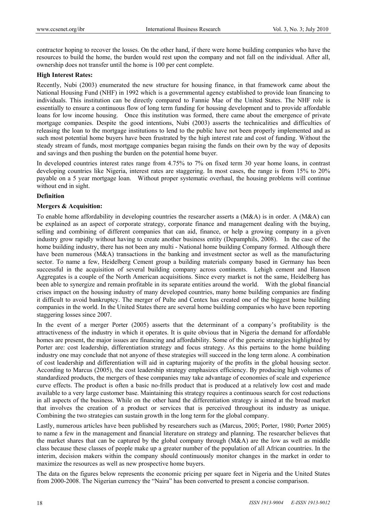contractor hoping to recover the losses. On the other hand, if there were home building companies who have the resources to build the home, the burden would rest upon the company and not fall on the individual. After all, ownership does not transfer until the home is 100 per cent complete.

#### **High Interest Rates:**

Recently, Nubi (2003) enumerated the new structure for housing finance, in that framework came about the National Housing Fund (NHF) in 1992 which is a governmental agency established to provide loan financing to individuals. This institution can be directly compared to Fannie Mae of the United States. The NHF role is essentially to ensure a continuous flow of long term funding for housing development and to provide affordable loans for low income housing. Once this institution was formed, there came about the emergence of private mortgage companies. Despite the good intentions, Nubi (2003) asserts the technicalities and difficulties of releasing the loan to the mortgage institutions to lend to the public have not been properly implemented and as such most potential home buyers have been frustrated by the high interest rate and cost of funding. Without the steady stream of funds, most mortgage companies began raising the funds on their own by the way of deposits and savings and then pushing the burden on the potential home buyer.

In developed countries interest rates range from 4.75% to 7% on fixed term 30 year home loans, in contrast developing countries like Nigeria, interest rates are staggering. In most cases, the range is from 15% to 20% payable on a 5 year mortgage loan. Without proper systematic overhaul, the housing problems will continue without end in sight.

## **Definition**

#### **Mergers & Acquisition:**

To enable home affordability in developing countries the researcher asserts a (M&A) is in order. A (M&A) can be explained as an aspect of corporate strategy, corporate finance and management dealing with the buying, selling and combining of different companies that can aid, finance, or help a growing company in a given industry grow rapidly without having to create another business entity (Depamphils, 2008). In the case of the home building industry, there has not been any multi - National home building Company formed. Although there have been numerous (M&A) transactions in the banking and investment sector as well as the manufacturing sector. To name a few, Heidelberg Cement group a building materials company based in Germany has been successful in the acquisition of several building company across continents. Lehigh cement and Hanson Aggregates is a couple of the North American acquisitions. Since every market is not the same, Heidelberg has been able to synergize and remain profitable in its separate entities around the world. With the global financial crises impact on the housing industry of many developed countries, many home building companies are finding it difficult to avoid bankruptcy. The merger of Pulte and Centex has created one of the biggest home building companies in the world. In the United States there are several home building companies who have been reporting staggering losses since 2007.

In the event of a merger Porter (2005) asserts that the determinant of a company's profitability is the attractiveness of the industry in which it operates. It is quite obvious that in Nigeria the demand for affordable homes are present, the major issues are financing and affordability. Some of the generic strategies highlighted by Porter are: cost leadership, differentiation strategy and focus strategy. As this pertains to the home building industry one may conclude that not anyone of these strategies will succeed in the long term alone. A combination of cost leadership and differentiation will aid in capturing majority of the profits in the global housing sector. According to Marcus (2005), the cost leadership strategy emphasizes efficiency. By producing high volumes of standardized products, the mergers of these companies may take advantage of economies of scale and experience curve effects. The product is often a basic no-frills product that is produced at a relatively low cost and made available to a very large customer base. Maintaining this strategy requires a continuous search for cost reductions in all aspects of the business. While on the other hand the differentiation strategy is aimed at the broad market that involves the creation of a product or services that is perceived throughout its industry as unique. Combining the two strategies can sustain growth in the long term for the global company.

Lastly, numerous articles have been published by researchers such as (Marcus, 2005; Porter, 1980; Porter 2005) to name a few in the management and financial literature on strategy and planning. The researcher believes that the market shares that can be captured by the global company through (M&A) are the low as well as middle class because these classes of people make up a greater number of the population of all African countries. In the interim, decision makers within the company should continuously monitor changes in the market in order to maximize the resources as well as new prospective home buyers.

The data on the figures below represents the economic pricing per square feet in Nigeria and the United States from 2000-2008. The Nigerian currency the "Naira" has been converted to present a concise comparison.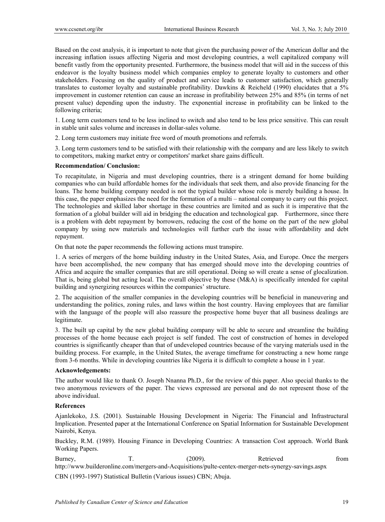Based on the cost analysis, it is important to note that given the purchasing power of the American dollar and the increasing inflation issues affecting Nigeria and most developing countries, a well capitalized company will benefit vastly from the opportunity presented. Furthermore, the business model that will aid in the success of this endeavor is the loyalty business model which companies employ to generate loyalty to customers and other stakeholders. Focusing on the quality of product and service leads to customer satisfaction, which generally translates to customer loyalty and sustainable profitability. Dawkins & Reicheld (1990) elucidates that a 5% improvement in customer retention can cause an increase in profitability between 25% and 85% (in terms of net present value) depending upon the industry. The exponential increase in profitability can be linked to the following criteria;

1. Long term customers tend to be less inclined to switch and also tend to be less price sensitive. This can result in stable unit sales volume and increases in dollar-sales volume.

2. Long term customers may initiate free word of mouth promotions and referrals.

3. Long term customers tend to be satisfied with their relationship with the company and are less likely to switch to competitors, making market entry or competitors' market share gains difficult.

### **Recommendation/ Conclusion:**

To recapitulate, in Nigeria and must developing countries, there is a stringent demand for home building companies who can build affordable homes for the individuals that seek them, and also provide financing for the loans. The home building company needed is not the typical builder whose role is merely building a house. In this case, the paper emphasizes the need for the formation of a multi – national company to carry out this project. The technologies and skilled labor shortage in these countries are limited and as such it is imperative that the formation of a global builder will aid in bridging the education and technological gap. Furthermore, since there is a problem with debt repayment by borrowers, reducing the cost of the home on the part of the new global company by using new materials and technologies will further curb the issue with affordability and debt repayment.

On that note the paper recommends the following actions must transpire.

1. A series of mergers of the home building industry in the United States, Asia, and Europe. Once the mergers have been accomplished, the new company that has emerged should move into the developing countries of Africa and acquire the smaller companies that are still operational. Doing so will create a sense of glocalization. That is, being global but acting local. The overall objective by these (M&A) is specifically intended for capital building and synergizing resources within the companies' structure.

2. The acquisition of the smaller companies in the developing countries will be beneficial in maneuvering and understanding the politics, zoning rules, and laws within the host country. Having employees that are familiar with the language of the people will also reassure the prospective home buyer that all business dealings are legitimate.

3. The built up capital by the new global building company will be able to secure and streamline the building processes of the home because each project is self funded. The cost of construction of homes in developed countries is significantly cheaper than that of undeveloped countries because of the varying materials used in the building process. For example, in the United States, the average timeframe for constructing a new home range from 3-6 months. While in developing countries like Nigeria it is difficult to complete a house in 1 year.

#### **Acknowledgements:**

The author would like to thank O. Joseph Nnanna Ph.D., for the review of this paper. Also special thanks to the two anonymous reviewers of the paper. The views expressed are personal and do not represent those of the above individual.

#### **References**

Ajanlekoko, J.S. (2001). Sustainable Housing Development in Nigeria: The Financial and Infrastructural Implication. Presented paper at the International Conference on Spatial Information for Sustainable Development Nairobi, Kenya.

Buckley, R.M. (1989). Housing Finance in Developing Countries: A transaction Cost approach. World Bank Working Papers.

Burney, T. (2009). Retrieved from http://www.builderonline.com/mergers-and-Acquisitions/pulte-centex-merger-nets-synergy-savings.aspx

CBN (1993-1997) Statistical Bulletin (Various issues) CBN; Abuja.